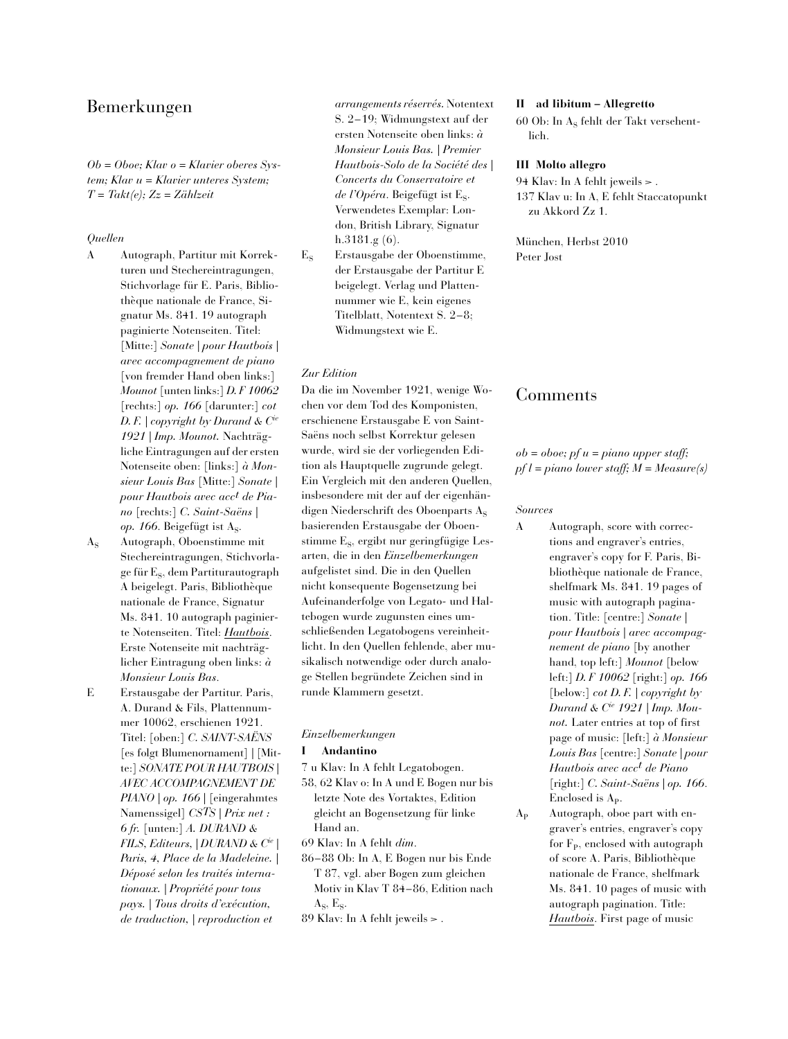# Bemerkungen

*Ob = Oboe; Klav o = Klavier oberes System; Klav u = Klavier unteres System; T = Takt(e); Zz = Zählzeit*

# *Quellen*

- A Autograph, Partitur mit Korrekturen und Stechereintragungen, Stichvorlage für E. Paris, Bibliothèque nationale de France, Signatur Ms. 841. 19 autograph paginierte Notenseiten. Titel: [Mitte:] *Sonate | pour Hautbois | avec accompagnement de piano* [von fremder Hand oben links:] *Mounot* [unten links:] *D. F 10062* [rechts:] *op. 166* [darunter:] *cot D. F. | copyright by Durand & Cie 1921 | Imp. Mounot.* Nachträgliche Eintragungen auf der ersten Notenseite oben: [links:] *à Monsieur Louis Bas* [Mitte:] *Sonate | pour Hautbois avec acct de Piano* [rechts:] *C. Saint-Saëns | op.* 166. Beigefügt ist As.
- A<sub>S</sub> Autograph, Oboenstimme mit Stechereintragungen, Stichvorlage für E<sub>s</sub>, dem Partiturautograph A beigelegt. Paris, Bibliothèque nationale de France, Signatur Ms. 841. 10 autograph paginierte Notenseiten. Titel: *Hautbois*. Erste Notenseite mit nachträglicher Eintragung oben links: *à Monsieur Louis Bas*.
- E Erstausgabe der Partitur. Paris, A. Durand & Fils, Plattennummer 10062, erschienen 1921. Titel: [oben:] *C. SAINT-SAËNS* [es folgt Blumenornament] *|* [Mitte:] *SONATE POUR HAUTBOIS | AVEC ACCOMPAGNEMENT DE PIANO | op. 166* | [eingerahmtes Namenssigel] *CSTS | Prix net : 6 fr.* [unten:] *A. DURAND & FILS, Editeurs, | DURAND & Cie | Paris, 4, Place de la Madeleine. | Déposé selon les traités internationaux. | Propriété pour tous pays. | Tous droits d'exécution, de traduction, | reproduction et*

*arrangements réservés.* Notentext S. 2–19; Widmungstext auf der ersten Notenseite oben links: *à Monsieur Louis Bas. | Premier Hautbois-Solo de la Société des | Concerts du Conservatoire et de l'Opéra*. Beigefügt ist E<sub>S</sub>. Verwendetes Exemplar: London, British Library, Signatur h.3181.g (6).

E<sub>S</sub> Erstausgabe der Oboenstimme, der Erstausgabe der Partitur E beigelegt. Verlag und Plattennummer wie E, kein eigenes Titelblatt, Notentext S. 2–8; Widmungstext wie E.

### *Zur Edition*

Da die im November 1921, wenige Wochen vor dem Tod des Komponisten, erschienene Erstausgabe E von Saint-Saëns noch selbst Korrektur gelesen wurde, wird sie der vorliegenden Edition als Hauptquelle zugrunde gelegt. Ein Vergleich mit den anderen Quellen, insbesondere mit der auf der eigenhändigen Niederschrift des Oboenparts  $A_s$ basierenden Erstausgabe der Oboenstimme  $E_s$ , ergibt nur geringfügige Lesarten, die in den *Einzelbemerkungen* aufgelistet sind. Die in den Quellen nicht konsequente Bogensetzung bei Aufeinanderfolge von Legato- und Haltebogen wurde zugunsten eines umschließenden Legatobogens vereinheitlicht. In den Quellen fehlende, aber musikalisch notwendige oder durch analoge Stellen begründete Zeichen sind in runde Klammern gesetzt.

#### *Einzelbemerkungen*

### **I Andantino**

- 7 u Klav: In A fehlt Legatobogen.
- 58, 62 Klav o: In A und E Bogen nur bis letzte Note des Vortaktes, Edition gleicht an Bogensetzung für linke Hand an.
- 69 Klav: In A fehlt *dim*.
- 86–88 Ob: In A, E Bogen nur bis Ende T 87, vgl. aber Bogen zum gleichen Motiv in Klav T 84–86, Edition nach  $A_s$ ,  $E_s$ .
- 89 Klav: In A fehlt jeweils  $>$ .

## **II ad libitum – Allegretto**

60 Ob: In  $A_s$  fehlt der Takt versehentlich.

#### **III Molto allegro**

94 Klav: In A fehlt jeweils  $>$ . 137 Klav u: In A, E fehlt Staccatopunkt zu Akkord Zz 1.

München, Herbst 2010 Peter Jost

# Comments

## *ob = oboe; pf u = piano upper staff; pf l = piano lower staff; M = Measure(s)*

### *Sources*

A Autograph, score with corrections and engraver's entries, engraver's copy for F. Paris, Bibliothèque nationale de France, shelfmark Ms. 841. 19 pages of music with autograph pagination. Title: [centre:] *Sonate | pour Hautbois | avec accompagnement de piano* [by another hand, top left:] *Mounot* [below left:] *D. F 10062* [right:] *op. 166* [below:] *cot D. F. | copyright by Durand & Cie 1921 | Imp. Mounot.* Later entries at top of first page of music: [left:] *à Monsieur Louis Bas* [centre:] *Sonate | pour Hautbois avec acct de Piano* [right:] *C. Saint-Saëns | op. 166*. Enclosed is  $A_p$ .

 $A_{p}$  Autograph, oboe part with engraver's entries, engraver's copy for  $F_p$ , enclosed with autograph of score A. Paris, Bibliothèque nationale de France, shelfmark Ms. 841. 10 pages of music with autograph pagination. Title: *Hautbois*. First page of music